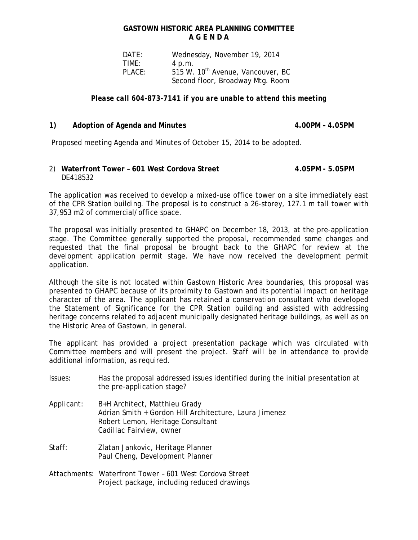# **GASTOWN HISTORIC AREA PLANNING COMMITTEE A G E N D A**

 DATE: Wednesday, November 19, 2014 TIME: 4 p.m. PLACE: 515 W. 10<sup>th</sup> Avenue, Vancouver, BC Second floor, Broadway Mtg. Room

#### *Please call 604-873-7141 if you are unable to attend this meeting*

### 1) Adoption of Agenda and Minutes **4.00PM – 4.05PM**

Proposed meeting Agenda and Minutes of October 15, 2014 to be adopted.

## 2) **Waterfront Tower – 601 West Cordova Street 4.05PM - 5.05PM** DE418532

The application was received to develop a mixed-use office tower on a site immediately east of the CPR Station building. The proposal is to construct a 26-storey, 127.1 m tall tower with 37,953 m2 of commercial/office space.

The proposal was initially presented to GHAPC on December 18, 2013, at the pre-application stage. The Committee generally supported the proposal, recommended some changes and requested that the final proposal be brought back to the GHAPC for review at the development application permit stage. We have now received the development permit application.

Although the site is not located within Gastown Historic Area boundaries, this proposal was presented to GHAPC because of its proximity to Gastown and its potential impact on heritage character of the area. The applicant has retained a conservation consultant who developed the Statement of Significance for the CPR Station building and assisted with addressing heritage concerns related to adjacent municipally designated heritage buildings, as well as on the Historic Area of Gastown, in general.

The applicant has provided a project presentation package which was circulated with Committee members and will present the project. Staff will be in attendance to provide additional information, as required.

- Issues: Has the proposal addressed issues identified during the initial presentation at the pre-application stage?
- Applicant: B+H Architect, Matthieu Grady Adrian Smith + Gordon Hill Architecture, Laura Jimenez Robert Lemon, Heritage Consultant Cadillac Fairview, owner
- Staff: Zlatan Jankovic, Heritage Planner Paul Cheng, Development Planner
- Attachments: Waterfront Tower 601 West Cordova Street Project package, including reduced drawings